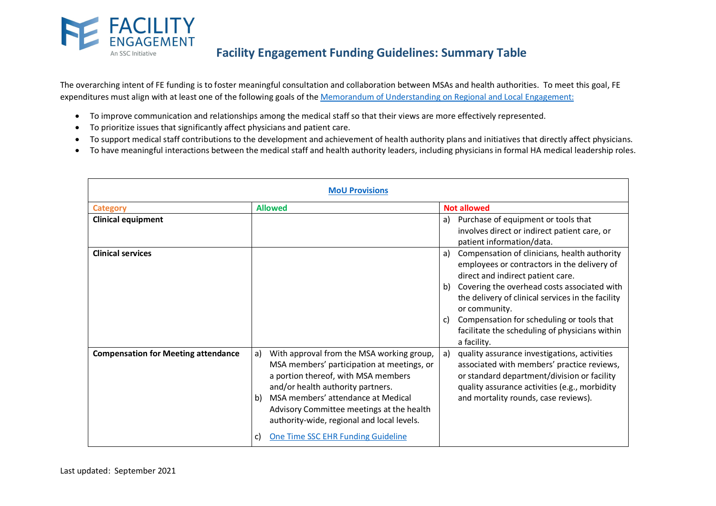

# **Facility Engagement Funding Guidelines: Summary Table**

The overarching intent of FE funding is to foster meaningful consultation and collaboration between MSAs and health authorities. To meet this goal, FE expenditures must align with at least one of the following goals of the Memorandum of Understanding on Regional and Local Engagement:

- To improve communication and relationships among the medical staff so that their views are more effectively represented.
- To prioritize issues that significantly affect physicians and patient care.
- To support medical staff contributions to the development and achievement of health authority plans and initiatives that directly affect physicians.
- To have meaningful interactions between the medical staff and health authority leaders, including physicians in formal HA medical leadership roles.

|                                            | <b>MoU Provisions</b>                                                                                                                                                                                                                                                                                                                                        |                                                                                                                                                                                                                                                                                                                                                                                    |
|--------------------------------------------|--------------------------------------------------------------------------------------------------------------------------------------------------------------------------------------------------------------------------------------------------------------------------------------------------------------------------------------------------------------|------------------------------------------------------------------------------------------------------------------------------------------------------------------------------------------------------------------------------------------------------------------------------------------------------------------------------------------------------------------------------------|
| <b>Category</b>                            | <b>Allowed</b>                                                                                                                                                                                                                                                                                                                                               | <b>Not allowed</b>                                                                                                                                                                                                                                                                                                                                                                 |
| <b>Clinical equipment</b>                  |                                                                                                                                                                                                                                                                                                                                                              | a) Purchase of equipment or tools that<br>involves direct or indirect patient care, or<br>patient information/data.                                                                                                                                                                                                                                                                |
| <b>Clinical services</b>                   |                                                                                                                                                                                                                                                                                                                                                              | Compensation of clinicians, health authority<br>a)<br>employees or contractors in the delivery of<br>direct and indirect patient care.<br>b) Covering the overhead costs associated with<br>the delivery of clinical services in the facility<br>or community.<br>Compensation for scheduling or tools that<br>c)<br>facilitate the scheduling of physicians within<br>a facility. |
| <b>Compensation for Meeting attendance</b> | With approval from the MSA working group,<br>a)<br>MSA members' participation at meetings, or<br>a portion thereof, with MSA members<br>and/or health authority partners.<br>MSA members' attendance at Medical<br>b)<br>Advisory Committee meetings at the health<br>authority-wide, regional and local levels.<br>One Time SSC EHR Funding Guideline<br>C) | a)<br>quality assurance investigations, activities<br>associated with members' practice reviews,<br>or standard department/division or facility<br>quality assurance activities (e.g., morbidity<br>and mortality rounds, case reviews).                                                                                                                                           |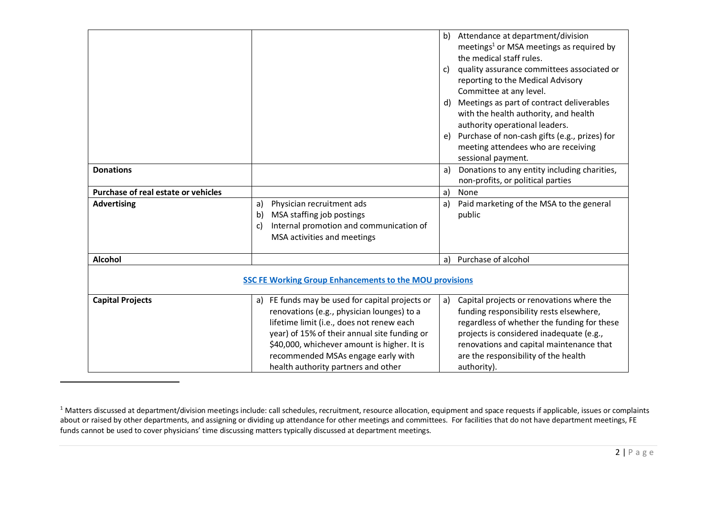| <b>Donations</b>                    |                                                                                                                                                                                                                                                                                                                        | Attendance at department/division<br>b)<br>meetings <sup>1</sup> or MSA meetings as required by<br>the medical staff rules.<br>quality assurance committees associated or<br>C)<br>reporting to the Medical Advisory<br>Committee at any level.<br>Meetings as part of contract deliverables<br>d)<br>with the health authority, and health<br>authority operational leaders.<br>Purchase of non-cash gifts (e.g., prizes) for<br>e)<br>meeting attendees who are receiving<br>sessional payment.<br>Donations to any entity including charities,<br>a)<br>non-profits, or political parties |
|-------------------------------------|------------------------------------------------------------------------------------------------------------------------------------------------------------------------------------------------------------------------------------------------------------------------------------------------------------------------|----------------------------------------------------------------------------------------------------------------------------------------------------------------------------------------------------------------------------------------------------------------------------------------------------------------------------------------------------------------------------------------------------------------------------------------------------------------------------------------------------------------------------------------------------------------------------------------------|
| Purchase of real estate or vehicles |                                                                                                                                                                                                                                                                                                                        | $\mathsf{a}$<br>None                                                                                                                                                                                                                                                                                                                                                                                                                                                                                                                                                                         |
| <b>Advertising</b>                  | Physician recruitment ads<br>a)<br>MSA staffing job postings<br>b)<br>Internal promotion and communication of<br>c)<br>MSA activities and meetings                                                                                                                                                                     | Paid marketing of the MSA to the general<br>a)<br>public                                                                                                                                                                                                                                                                                                                                                                                                                                                                                                                                     |
| <b>Alcohol</b>                      |                                                                                                                                                                                                                                                                                                                        | Purchase of alcohol<br>a)                                                                                                                                                                                                                                                                                                                                                                                                                                                                                                                                                                    |
|                                     | <b>SSC FE Working Group Enhancements to the MOU provisions</b>                                                                                                                                                                                                                                                         |                                                                                                                                                                                                                                                                                                                                                                                                                                                                                                                                                                                              |
| <b>Capital Projects</b>             | a) FE funds may be used for capital projects or<br>renovations (e.g., physician lounges) to a<br>lifetime limit (i.e., does not renew each<br>year) of 15% of their annual site funding or<br>\$40,000, whichever amount is higher. It is<br>recommended MSAs engage early with<br>health authority partners and other | Capital projects or renovations where the<br>a)<br>funding responsibility rests elsewhere,<br>regardless of whether the funding for these<br>projects is considered inadequate (e.g.,<br>renovations and capital maintenance that<br>are the responsibility of the health<br>authority).                                                                                                                                                                                                                                                                                                     |

 $^1$  Matters discussed at department/division meetings include: call schedules, recruitment, resource allocation, equipment and space requests if applicable, issues or complaints about or raised by other departments, and assigning or dividing up attendance for other meetings and committees. For facilities that do not have department meetings, FE funds cannot be used to cover physicians' time discussing matters typically discussed at department meetings.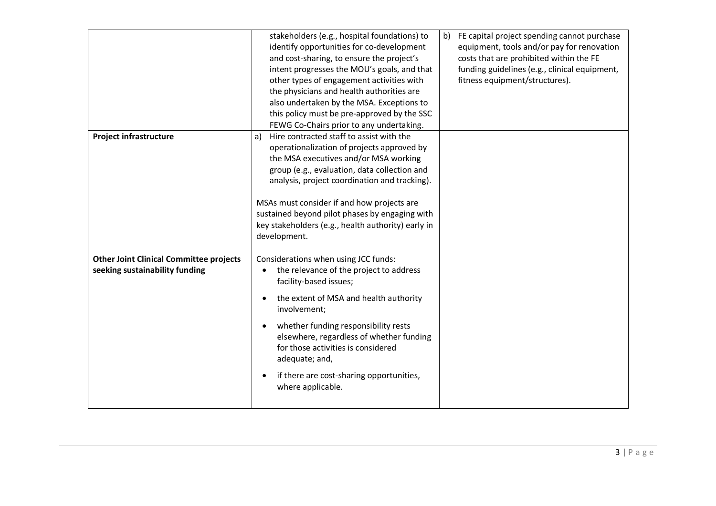|                                                                                  | stakeholders (e.g., hospital foundations) to<br>identify opportunities for co-development<br>and cost-sharing, to ensure the project's<br>intent progresses the MOU's goals, and that<br>other types of engagement activities with<br>the physicians and health authorities are<br>also undertaken by the MSA. Exceptions to<br>this policy must be pre-approved by the SSC<br>FEWG Co-Chairs prior to any undertaking. | FE capital project spending cannot purchase<br>b)<br>equipment, tools and/or pay for renovation<br>costs that are prohibited within the FE<br>funding guidelines (e.g., clinical equipment,<br>fitness equipment/structures). |
|----------------------------------------------------------------------------------|-------------------------------------------------------------------------------------------------------------------------------------------------------------------------------------------------------------------------------------------------------------------------------------------------------------------------------------------------------------------------------------------------------------------------|-------------------------------------------------------------------------------------------------------------------------------------------------------------------------------------------------------------------------------|
| <b>Project infrastructure</b>                                                    | Hire contracted staff to assist with the<br>a)<br>operationalization of projects approved by<br>the MSA executives and/or MSA working<br>group (e.g., evaluation, data collection and<br>analysis, project coordination and tracking).<br>MSAs must consider if and how projects are<br>sustained beyond pilot phases by engaging with<br>key stakeholders (e.g., health authority) early in<br>development.            |                                                                                                                                                                                                                               |
| <b>Other Joint Clinical Committee projects</b><br>seeking sustainability funding | Considerations when using JCC funds:<br>the relevance of the project to address<br>facility-based issues;<br>the extent of MSA and health authority<br>involvement;<br>whether funding responsibility rests<br>$\bullet$<br>elsewhere, regardless of whether funding<br>for those activities is considered<br>adequate; and,<br>if there are cost-sharing opportunities,<br>$\bullet$<br>where applicable.              |                                                                                                                                                                                                                               |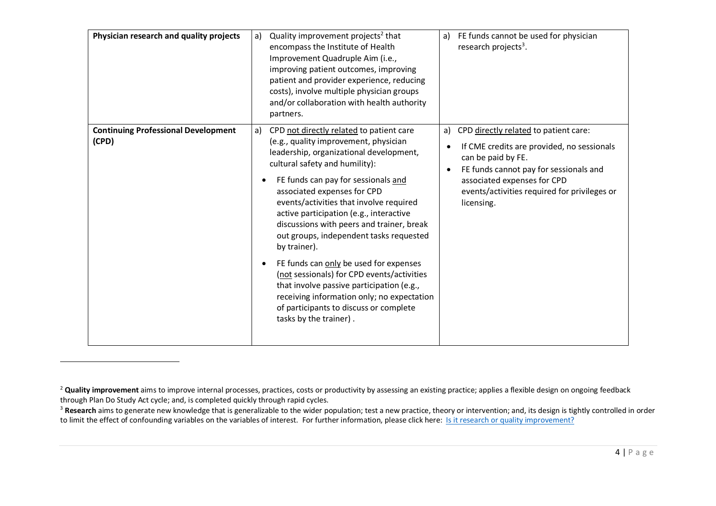| Physician research and quality projects             | Quality improvement projects <sup>2</sup> that<br>a)<br>encompass the Institute of Health<br>Improvement Quadruple Aim (i.e.,<br>improving patient outcomes, improving<br>patient and provider experience, reducing<br>costs), involve multiple physician groups<br>and/or collaboration with health authority<br>partners.                                                                                                                                                                                                                                                                                                                                                                     | FE funds cannot be used for physician<br>a)<br>research projects <sup>3</sup> .                                                                                                                                                                                     |
|-----------------------------------------------------|-------------------------------------------------------------------------------------------------------------------------------------------------------------------------------------------------------------------------------------------------------------------------------------------------------------------------------------------------------------------------------------------------------------------------------------------------------------------------------------------------------------------------------------------------------------------------------------------------------------------------------------------------------------------------------------------------|---------------------------------------------------------------------------------------------------------------------------------------------------------------------------------------------------------------------------------------------------------------------|
| <b>Continuing Professional Development</b><br>(CPD) | CPD not directly related to patient care<br>a)<br>(e.g., quality improvement, physician<br>leadership, organizational development,<br>cultural safety and humility):<br>FE funds can pay for sessionals and<br>associated expenses for CPD<br>events/activities that involve required<br>active participation (e.g., interactive<br>discussions with peers and trainer, break<br>out groups, independent tasks requested<br>by trainer).<br>FE funds can only be used for expenses<br>(not sessionals) for CPD events/activities<br>that involve passive participation (e.g.,<br>receiving information only; no expectation<br>of participants to discuss or complete<br>tasks by the trainer). | CPD directly related to patient care:<br>a)<br>If CME credits are provided, no sessionals<br>can be paid by FE.<br>FE funds cannot pay for sessionals and<br>$\bullet$<br>associated expenses for CPD<br>events/activities required for privileges or<br>licensing. |

<sup>&</sup>lt;sup>2</sup> Quality improvement aims to improve internal processes, practices, costs or productivity by assessing an existing practice; applies a flexible design on ongoing feedback through Plan Do Study Act cycle; and, is completed quickly through rapid cycles.

<sup>&</sup>lt;sup>3</sup> Research aims to generate new knowledge that is generalizable to the wider population; test a new practice, theory or intervention; and, its design is tightly controlled in order to limit the effect of confounding variables on the variables of interest. For further information, please click here: Is it research or quality improvement?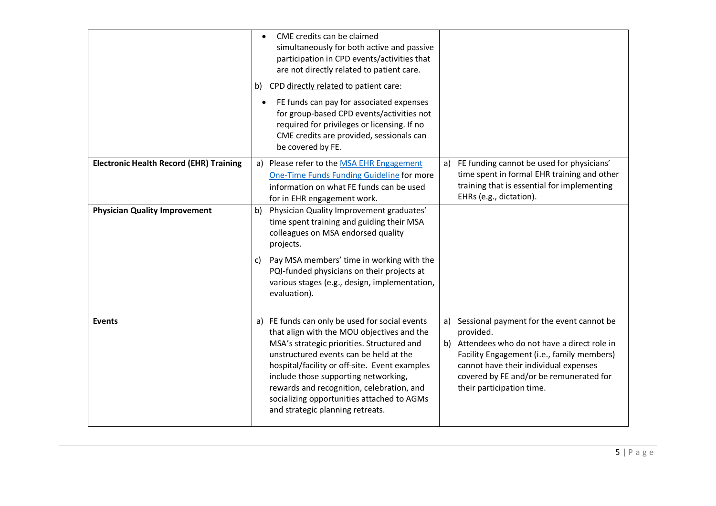|                                                | $\bullet$ | CME credits can be claimed<br>simultaneously for both active and passive<br>participation in CPD events/activities that<br>are not directly related to patient care.<br>b) CPD directly related to patient care:<br>FE funds can pay for associated expenses<br>for group-based CPD events/activities not<br>required for privileges or licensing. If no<br>CME credits are provided, sessionals can<br>be covered by FE. |    |                                                                                                                                                                                                                                                                        |
|------------------------------------------------|-----------|---------------------------------------------------------------------------------------------------------------------------------------------------------------------------------------------------------------------------------------------------------------------------------------------------------------------------------------------------------------------------------------------------------------------------|----|------------------------------------------------------------------------------------------------------------------------------------------------------------------------------------------------------------------------------------------------------------------------|
| <b>Electronic Health Record (EHR) Training</b> |           | a) Please refer to the MSA EHR Engagement<br>One-Time Funds Funding Guideline for more<br>information on what FE funds can be used<br>for in EHR engagement work.                                                                                                                                                                                                                                                         | a) | FE funding cannot be used for physicians'<br>time spent in formal EHR training and other<br>training that is essential for implementing<br>EHRs (e.g., dictation).                                                                                                     |
| <b>Physician Quality Improvement</b>           | b)<br>C)  | Physician Quality Improvement graduates'<br>time spent training and guiding their MSA<br>colleagues on MSA endorsed quality<br>projects.<br>Pay MSA members' time in working with the<br>PQI-funded physicians on their projects at<br>various stages (e.g., design, implementation,<br>evaluation).                                                                                                                      |    |                                                                                                                                                                                                                                                                        |
| <b>Events</b>                                  | a)        | FE funds can only be used for social events<br>that align with the MOU objectives and the<br>MSA's strategic priorities. Structured and<br>unstructured events can be held at the<br>hospital/facility or off-site. Event examples<br>include those supporting networking,<br>rewards and recognition, celebration, and<br>socializing opportunities attached to AGMs<br>and strategic planning retreats.                 | a) | Sessional payment for the event cannot be<br>provided.<br>b) Attendees who do not have a direct role in<br>Facility Engagement (i.e., family members)<br>cannot have their individual expenses<br>covered by FE and/or be remunerated for<br>their participation time. |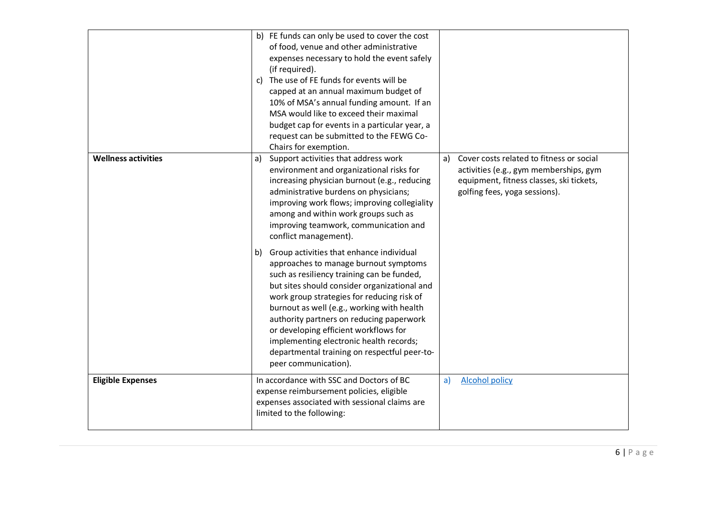|                            | b) FE funds can only be used to cover the cost<br>of food, venue and other administrative<br>expenses necessary to hold the event safely<br>(if required).<br>c) The use of FE funds for events will be<br>capped at an annual maximum budget of<br>10% of MSA's annual funding amount. If an<br>MSA would like to exceed their maximal<br>budget cap for events in a particular year, a<br>request can be submitted to the FEWG Co-<br>Chairs for exemption.                          |                                                                                                                                                                 |
|----------------------------|----------------------------------------------------------------------------------------------------------------------------------------------------------------------------------------------------------------------------------------------------------------------------------------------------------------------------------------------------------------------------------------------------------------------------------------------------------------------------------------|-----------------------------------------------------------------------------------------------------------------------------------------------------------------|
| <b>Wellness activities</b> | Support activities that address work<br>a)<br>a)<br>environment and organizational risks for<br>increasing physician burnout (e.g., reducing<br>administrative burdens on physicians;<br>improving work flows; improving collegiality<br>among and within work groups such as<br>improving teamwork, communication and<br>conflict management).                                                                                                                                        | Cover costs related to fitness or social<br>activities (e.g., gym memberships, gym<br>equipment, fitness classes, ski tickets,<br>golfing fees, yoga sessions). |
|                            | b) Group activities that enhance individual<br>approaches to manage burnout symptoms<br>such as resiliency training can be funded,<br>but sites should consider organizational and<br>work group strategies for reducing risk of<br>burnout as well (e.g., working with health<br>authority partners on reducing paperwork<br>or developing efficient workflows for<br>implementing electronic health records;<br>departmental training on respectful peer-to-<br>peer communication). |                                                                                                                                                                 |
| <b>Eligible Expenses</b>   | In accordance with SSC and Doctors of BC<br>a)<br>expense reimbursement policies, eligible<br>expenses associated with sessional claims are<br>limited to the following:                                                                                                                                                                                                                                                                                                               | <b>Alcohol policy</b>                                                                                                                                           |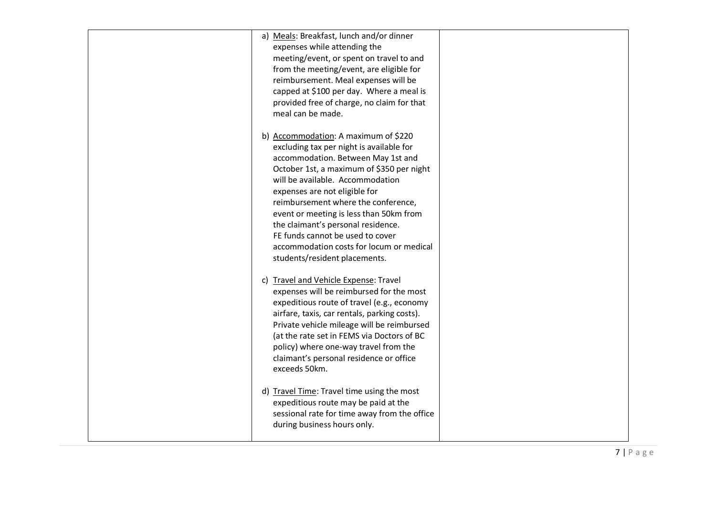| a) Meals: Breakfast, lunch and/or dinner<br>expenses while attending the<br>meeting/event, or spent on travel to and                                                                                                                                                                                                                                                                                                                                                              |  |
|-----------------------------------------------------------------------------------------------------------------------------------------------------------------------------------------------------------------------------------------------------------------------------------------------------------------------------------------------------------------------------------------------------------------------------------------------------------------------------------|--|
| from the meeting/event, are eligible for<br>reimbursement. Meal expenses will be<br>capped at \$100 per day. Where a meal is<br>provided free of charge, no claim for that<br>meal can be made.                                                                                                                                                                                                                                                                                   |  |
| b) Accommodation: A maximum of \$220<br>excluding tax per night is available for<br>accommodation. Between May 1st and<br>October 1st, a maximum of \$350 per night<br>will be available. Accommodation<br>expenses are not eligible for<br>reimbursement where the conference,<br>event or meeting is less than 50km from<br>the claimant's personal residence.<br>FE funds cannot be used to cover<br>accommodation costs for locum or medical<br>students/resident placements. |  |
| c) Travel and Vehicle Expense: Travel<br>expenses will be reimbursed for the most<br>expeditious route of travel (e.g., economy<br>airfare, taxis, car rentals, parking costs).<br>Private vehicle mileage will be reimbursed<br>(at the rate set in FEMS via Doctors of BC<br>policy) where one-way travel from the<br>claimant's personal residence or office<br>exceeds 50km.                                                                                                  |  |
| d) Travel Time: Travel time using the most<br>expeditious route may be paid at the<br>sessional rate for time away from the office<br>during business hours only.                                                                                                                                                                                                                                                                                                                 |  |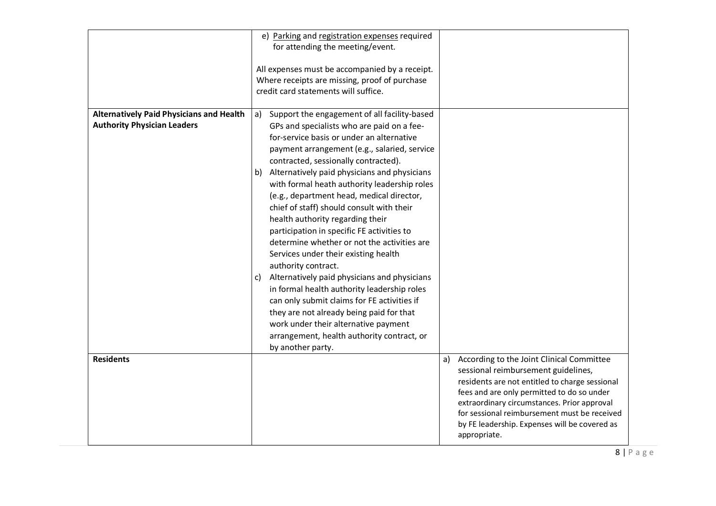|                                                                                       | e) Parking and registration expenses required<br>for attending the meeting/event.<br>All expenses must be accompanied by a receipt.<br>Where receipts are missing, proof of purchase<br>credit card statements will suffice.                                                                                                                                                                                                                                                                                                                                                                                                                                                                                                                                                                                                                                                                                                                  |                                                                                                                                                                                                                                                                                                                                                        |
|---------------------------------------------------------------------------------------|-----------------------------------------------------------------------------------------------------------------------------------------------------------------------------------------------------------------------------------------------------------------------------------------------------------------------------------------------------------------------------------------------------------------------------------------------------------------------------------------------------------------------------------------------------------------------------------------------------------------------------------------------------------------------------------------------------------------------------------------------------------------------------------------------------------------------------------------------------------------------------------------------------------------------------------------------|--------------------------------------------------------------------------------------------------------------------------------------------------------------------------------------------------------------------------------------------------------------------------------------------------------------------------------------------------------|
| <b>Alternatively Paid Physicians and Health</b><br><b>Authority Physician Leaders</b> | Support the engagement of all facility-based<br>a)<br>GPs and specialists who are paid on a fee-<br>for-service basis or under an alternative<br>payment arrangement (e.g., salaried, service<br>contracted, sessionally contracted).<br>b) Alternatively paid physicians and physicians<br>with formal heath authority leadership roles<br>(e.g., department head, medical director,<br>chief of staff) should consult with their<br>health authority regarding their<br>participation in specific FE activities to<br>determine whether or not the activities are<br>Services under their existing health<br>authority contract.<br>Alternatively paid physicians and physicians<br>C)<br>in formal health authority leadership roles<br>can only submit claims for FE activities if<br>they are not already being paid for that<br>work under their alternative payment<br>arrangement, health authority contract, or<br>by another party. |                                                                                                                                                                                                                                                                                                                                                        |
| <b>Residents</b>                                                                      |                                                                                                                                                                                                                                                                                                                                                                                                                                                                                                                                                                                                                                                                                                                                                                                                                                                                                                                                               | According to the Joint Clinical Committee<br>a)<br>sessional reimbursement guidelines,<br>residents are not entitled to charge sessional<br>fees and are only permitted to do so under<br>extraordinary circumstances. Prior approval<br>for sessional reimbursement must be received<br>by FE leadership. Expenses will be covered as<br>appropriate. |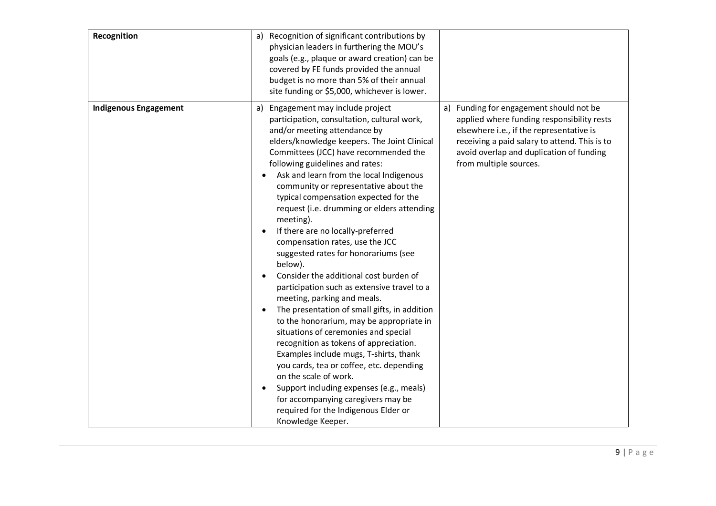| Recognition                  | a) Recognition of significant contributions by<br>physician leaders in furthering the MOU's<br>goals (e.g., plaque or award creation) can be<br>covered by FE funds provided the annual<br>budget is no more than 5% of their annual<br>site funding or \$5,000, whichever is lower.                                                                                                                                                                                                                                                                                                                                                                                                                                                                                                                                                                                                                                                                                                                                                                                                                                                                                                                 |                                                                                                                                                                                                                                                             |
|------------------------------|------------------------------------------------------------------------------------------------------------------------------------------------------------------------------------------------------------------------------------------------------------------------------------------------------------------------------------------------------------------------------------------------------------------------------------------------------------------------------------------------------------------------------------------------------------------------------------------------------------------------------------------------------------------------------------------------------------------------------------------------------------------------------------------------------------------------------------------------------------------------------------------------------------------------------------------------------------------------------------------------------------------------------------------------------------------------------------------------------------------------------------------------------------------------------------------------------|-------------------------------------------------------------------------------------------------------------------------------------------------------------------------------------------------------------------------------------------------------------|
| <b>Indigenous Engagement</b> | a) Engagement may include project<br>participation, consultation, cultural work,<br>and/or meeting attendance by<br>elders/knowledge keepers. The Joint Clinical<br>Committees (JCC) have recommended the<br>following guidelines and rates:<br>Ask and learn from the local Indigenous<br>$\bullet$<br>community or representative about the<br>typical compensation expected for the<br>request (i.e. drumming or elders attending<br>meeting).<br>If there are no locally-preferred<br>$\bullet$<br>compensation rates, use the JCC<br>suggested rates for honorariums (see<br>below).<br>Consider the additional cost burden of<br>$\bullet$<br>participation such as extensive travel to a<br>meeting, parking and meals.<br>The presentation of small gifts, in addition<br>$\bullet$<br>to the honorarium, may be appropriate in<br>situations of ceremonies and special<br>recognition as tokens of appreciation.<br>Examples include mugs, T-shirts, thank<br>you cards, tea or coffee, etc. depending<br>on the scale of work.<br>Support including expenses (e.g., meals)<br>$\bullet$<br>for accompanying caregivers may be<br>required for the Indigenous Elder or<br>Knowledge Keeper. | Funding for engagement should not be<br>a)<br>applied where funding responsibility rests<br>elsewhere i.e., if the representative is<br>receiving a paid salary to attend. This is to<br>avoid overlap and duplication of funding<br>from multiple sources. |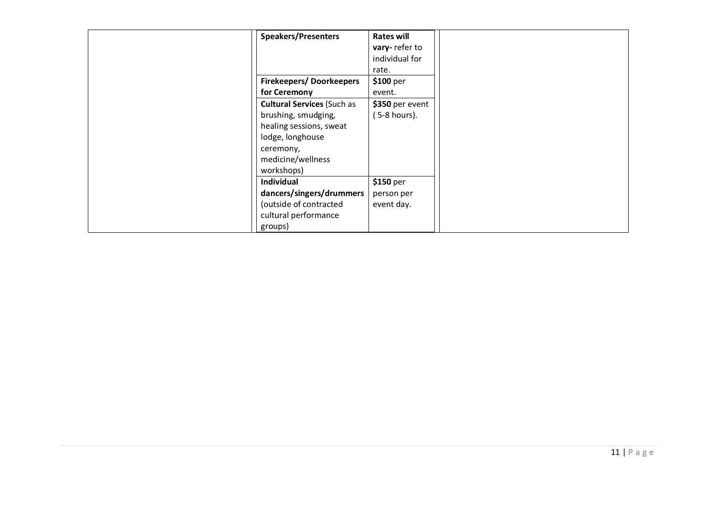| <b>Speakers/Presenters</b><br><b>Firekeepers/Doorkeepers</b><br>for Ceremony<br><b>Cultural Services (Such as</b><br>brushing, smudging,<br>healing sessions, sweat<br>lodge, longhouse<br>ceremony, | <b>Rates will</b><br>vary-refer to<br>individual for<br>rate.<br>$$100~\mathrm{per}$$<br>event.<br>\$350 per event<br>(5-8 hours). |
|------------------------------------------------------------------------------------------------------------------------------------------------------------------------------------------------------|------------------------------------------------------------------------------------------------------------------------------------|
| medicine/wellness<br>workshops)                                                                                                                                                                      |                                                                                                                                    |
| Individual                                                                                                                                                                                           | \$150 per                                                                                                                          |
| dancers/singers/drummers                                                                                                                                                                             | person per                                                                                                                         |
| (outside of contracted<br>cultural performance<br>groups)                                                                                                                                            | event day.                                                                                                                         |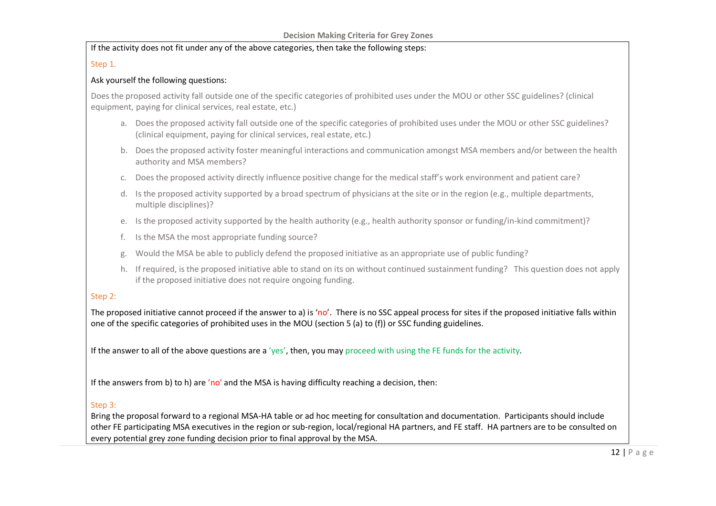If the activity does not fit under any of the above categories, then take the following steps:

## Step 1.

#### Ask yourself the following questions:

Does the proposed activity fall outside one of the specific categories of prohibited uses under the MOU or other SSC guidelines? (clinical equipment, paying for clinical services, real estate, etc.)

- a. Does the proposed activity fall outside one of the specific categories of prohibited uses under the MOU or other SSC guidelines? (clinical equipment, paying for clinical services, real estate, etc.)
- b. Does the proposed activity foster meaningful interactions and communication amongst MSA members and/or between the health authority and MSA members?
- c. Does the proposed activity directly influence positive change for the medical staff's work environment and patient care?
- d. Is the proposed activity supported by a broad spectrum of physicians at the site or in the region (e.g., multiple departments, multiple disciplines)?
- e. Is the proposed activity supported by the health authority (e.g., health authority sponsor or funding/in-kind commitment)?
- f. Is the MSA the most appropriate funding source?
- Would the MSA be able to publicly defend the proposed initiative as an appropriate use of public funding?
- h. If required, is the proposed initiative able to stand on its on without continued sustainment funding? This question does not apply if the proposed initiative does not require ongoing funding.

# Step 2:

The proposed initiative cannot proceed if the answer to a) is 'no'. There is no SSC appeal process for sites if the proposed initiative falls within one of the specific categories of prohibited uses in the MOU (section 5 (a) to (f)) or SSC funding guidelines.

If the answer to all of the above questions are a 'yes', then, you may proceed with using the FE funds for the activity.

If the answers from b) to h) are 'no' and the MSA is having difficulty reaching a decision, then:

## Step 3:

Bring the proposal forward to a regional MSA-HA table or ad hoc meeting for consultation and documentation. Participants should include other FE participating MSA executives in the region or sub-region, local/regional HA partners, and FE staff. HA partners are to be consulted on every potential grey zone funding decision prior to final approval by the MSA.